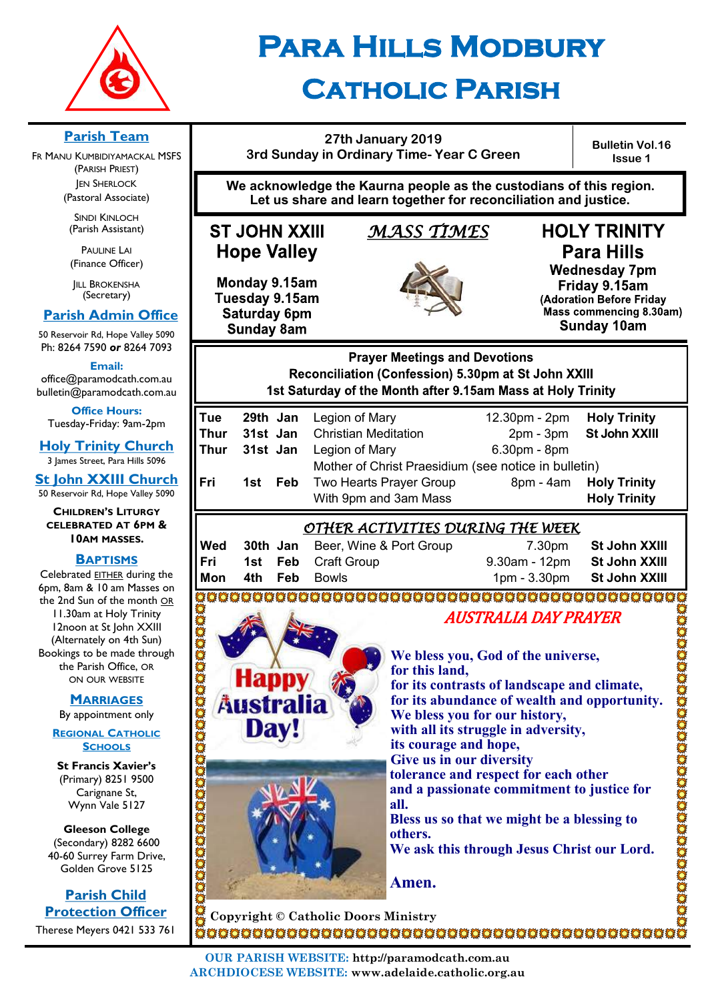

**Parish Team**  FR MANU KUMBIDIYAMACKAL MSFS (PARISH PRIEST) **JEN SHERLOCK** (Pastoral Associate) SINDI KINLOCH (Parish Assistant) PAULINE LAI (Finance Officer) **IILL BROKENSHA** (Secretary)  **Parish Admin Office** 50 Reservoir Rd, Hope Valley 5090 Ph: 8264 7590 *or* 8264 7093 **Email:**  office@paramodcath.com.au bulletin@paramodcath.com.au **Office Hours:**  Tuesday-Friday: 9am-2pm

# **Para Hills Modbury Catholic Parish**

#### **27th January 2019 3rd Sunday in Ordinary Time- Year C Green**

**Bulletin Vol.16 Issue 1**

**We acknowledge the Kaurna people as the custodians of this region. Let us share and learn together for reconciliation and justice.**

## **ST JOHN XXIII Hope Valley**

## *MASS TIMES*

Monday 9.15am Tuesday 9.15am Saturday 6pm **Sunday 8am** 

**Hap** 

**Austral** 

Dav!



# **HOLY TRINITY Para Hills**

**Wednesday 7pm** Friday 9.15am (Adoration Before Friday Mass commencing 8.30am) Sunday 10am

**Prayer Meetings and Devotions** Reconciliation (Confession) 5.30pm at St John XXIII 1st Saturday of the Month after 9.15am Mass at Holy Trinity

| Tue  |                     | <b>29th Jan</b> Legion of Mary                       | 12.30pm - 2pm | <b>Holy Trinity</b> |
|------|---------------------|------------------------------------------------------|---------------|---------------------|
| Thur |                     | <b>31st Jan</b> Christian Meditation                 | $2pm - 3pm$   | St John XXIII       |
| Thur | 31st Jan            | Legion of Mary                                       | 6.30pm - 8pm  |                     |
|      |                     | Mother of Christ Praesidium (see notice in bulletin) |               |                     |
| Fri  | <b>Feb</b><br>1st l | Two Hearts Prayer Group                              | $8pm - 4am$   | <b>Holy Trinity</b> |
|      |                     | With 9pm and 3am Mass                                |               | <b>Holy Trinity</b> |
|      |                     |                                                      |               |                     |

## *OTHER ACTIVITIES DURING THE WEEK*

| Wed |  | <b>30th Jan</b> Beer, Wine & Port Group | 7.30pm                      | St John XXIII |
|-----|--|-----------------------------------------|-----------------------------|---------------|
| Fri |  | <b>1st Feb Craft Group</b>              | 9.30am - 12pm St John XXIII |               |
| Mon |  | <b>4th Feb Bowls</b>                    | 1pm - 3.30pm St John XXIII  |               |
|     |  |                                         |                             |               |

3000000000000000000000000000000 oonanamanananananan

# AUSTRALIA DAY PRAYER

**We bless you, God of the universe, for this land, for its contrasts of landscape and climate, for its abundance of wealth and opportunity. We bless you for our history, with all its struggle in adversity, its courage and hope, Give us in our diversity tolerance and respect for each other and a passionate commitment to justice for all. Bless us so that we might be a blessing to others. We ask this through Jesus Christ our Lord. Amen.**

**Copyright © Catholic Doors Ministry**

**Holy Trinity Church** 3 James Street, Para Hills 5096 **St John XXIII Church** 50 Reservoir Rd, Hope Valley 5090

**CHILDREN'S LITURGY CELEBRATED AT 6PM & 10AM MASSES.**

#### **BAPTISMS**

Celebrated EITHER during the 6pm, 8am & 10 am Masses on the 2nd Sun of the month OR 11.30am at Holy Trinity 12noon at St John XXIII (Alternately on 4th Sun) Bookings to be made through the Parish Office, OR ON OUR WEBSITE

**MARRIAGES**

By appointment only

**REGIONAL CATHOLIC SCHOOLS**

**St Francis Xavier's**  (Primary) 8251 9500 Carignane St, Wynn Vale 5127

**Gleeson College**  (Secondary) 8282 6600 40-60 Surrey Farm Drive, Golden Grove 5125

**Parish Child Protection Officer** Therese Meyers 0421 533 761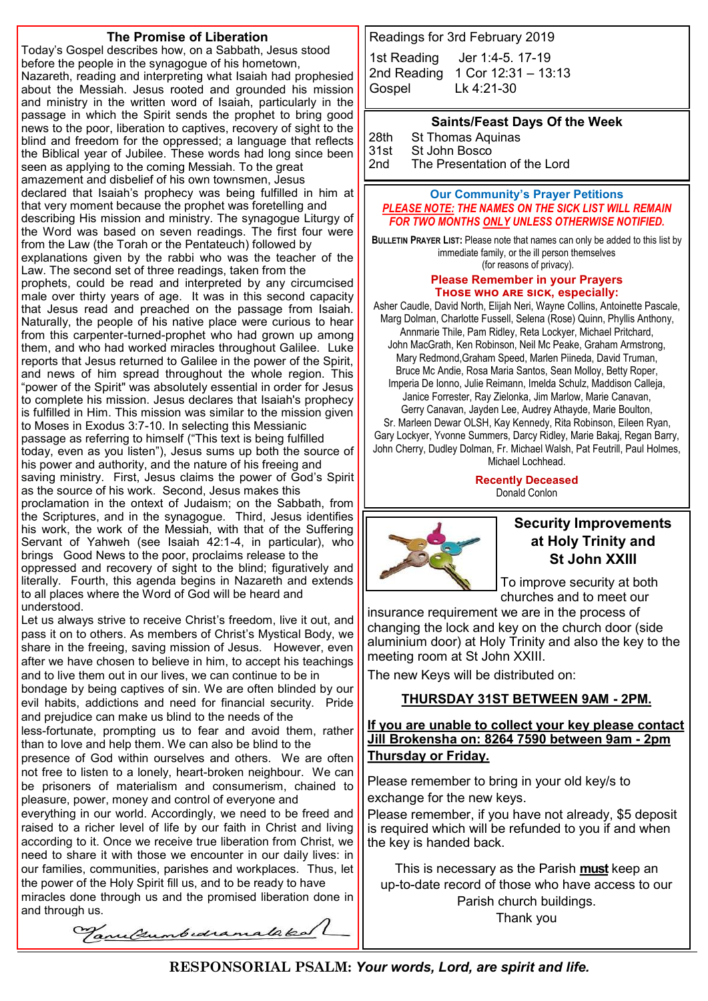#### **The Promise of Liberation**

Today's Gospel describes how, on a Sabbath, Jesus stood before the people in the synagogue of his hometown, Nazareth, reading and interpreting what Isaiah had prophesied about the Messiah. Jesus rooted and grounded his mission and ministry in the written word of Isaiah, particularly in the passage in which the Spirit sends the prophet to bring good news to the poor, liberation to captives, recovery of sight to the blind and freedom for the oppressed; a language that reflects the Biblical year of Jubilee. These words had long since been seen as applying to the coming Messiah. To the great amazement and disbelief of his own townsmen, Jesus declared that Isaiah's prophecy was being fulfilled in him at that very moment because the prophet was foretelling and describing His mission and ministry. The synagogue Liturgy of the Word was based on seven readings. The first four were from the Law (the Torah or the Pentateuch) followed by explanations given by the rabbi who was the teacher of the Law. The second set of three readings, taken from the prophets, could be read and interpreted by any circumcised male over thirty years of age. It was in this second capacity that Jesus read and preached on the passage from Isaiah. Naturally, the people of his native place were curious to hear from this carpenter-turned-prophet who had grown up among them, and who had worked miracles throughout Galilee. Luke reports that Jesus returned to Galilee in the power of the Spirit, and news of him spread throughout the whole region. This "power of the Spirit" was absolutely essential in order for Jesus to complete his mission. Jesus declares that Isaiah's prophecy is fulfilled in Him. This mission was similar to the mission given to Moses in Exodus 3:7-10. In selecting this Messianic passage as referring to himself ("This text is being fulfilled today, even as you listen"), Jesus sums up both the source of his power and authority, and the nature of his freeing and saving ministry. First, Jesus claims the power of God's Spirit as the source of his work. Second, Jesus makes this proclamation in the ontext of Judaism; on the Sabbath, from the Scriptures, and in the synagogue. Third, Jesus identifies his work, the work of the Messiah, with that of the Suffering Servant of Yahweh (see Isaiah 42:1-4, in particular), who brings Good News to the poor, proclaims release to the oppressed and recovery of sight to the blind; figuratively and literally. Fourth, this agenda begins in Nazareth and extends to all places where the Word of God will be heard and understood.

Let us always strive to receive Christ's freedom, live it out, and pass it on to others. As members of Christ's Mystical Body, we share in the freeing, saving mission of Jesus. However, even after we have chosen to believe in him, to accept his teachings and to live them out in our lives, we can continue to be in bondage by being captives of sin. We are often blinded by our

evil habits, addictions and need for financial security. Pride and prejudice can make us blind to the needs of the

less-fortunate, prompting us to fear and avoid them, rather than to love and help them. We can also be blind to the

presence of God within ourselves and others. We are often not free to listen to a lonely, heart-broken neighbour. We can be prisoners of materialism and consumerism, chained to pleasure, power, money and control of everyone and

everything in our world. Accordingly, we need to be freed and raised to a richer level of life by our faith in Christ and living according to it. Once we receive true liberation from Christ, we need to share it with those we encounter in our daily lives: in our families, communities, parishes and workplaces. Thus, let the power of the Holy Spirit fill us, and to be ready to have miracles done through us and the promised liberation done in and through us.

VanuChumbedramalaked

Readings for 3rd February 2019

1st Reading [Jer 1:4](javascript:expandDetail(%22reading%22,%22FR%22,%22N04ORSUC%22,%20%22right_content_middle%22,%22%22);)-5. 17-19 2nd Reading [1 Cor 12:31 –](javascript:expandDetail(%22reading%22,%22SR%22,%22N04ORSUC%22,%20%22right_content_middle%22,%22%22);) 13:13 Gospel [Lk 4:21](javascript:expandDetail(%22reading%22,%22GR%22,%22N04ORSUC%22,%20%22right_content_middle%22,%22%22);)-30

**Saints/Feast Days Of the Week**

28th St Thomas Aquinas<br>31st St John Bosco St John Bosco 2nd The Presentation of the Lord

#### **Our Community's Prayer Petitions**  *PLEASE NOTE: THE NAMES ON THE SICK LIST WILL REMAIN FOR TWO MONTHS ONLY UNLESS OTHERWISE NOTIFIED.*

**BULLETIN PRAYER LIST:** Please note that names can only be added to this list by immediate family, or the ill person themselves (for reasons of privacy).

#### **Please Remember in your Prayers Those who are sick, especially:**

Asher Caudle, David North, Elijah Neri, Wayne Collins, Antoinette Pascale, Marg Dolman, Charlotte Fussell, Selena (Rose) Quinn, Phyllis Anthony, Annmarie Thile, Pam Ridley, Reta Lockyer, Michael Pritchard, John MacGrath, Ken Robinson, Neil Mc Peake, Graham Armstrong, Mary Redmond,Graham Speed, Marlen Piineda, David Truman, Bruce Mc Andie, Rosa Maria Santos, Sean Molloy, Betty Roper, Imperia De Ionno, Julie Reimann, Imelda Schulz, Maddison Calleja, Janice Forrester, Ray Zielonka, Jim Marlow, Marie Canavan, Gerry Canavan, Jayden Lee, Audrey Athayde, Marie Boulton, Sr. Marleen Dewar OLSH, Kay Kennedy, Rita Robinson, Eileen Ryan, Gary Lockyer, Yvonne Summers, Darcy Ridley, Marie Bakaj, Regan Barry, John Cherry, Dudley Dolman, Fr. Michael Walsh, Pat Feutrill, Paul Holmes, Michael Lochhead.

> **Recently Deceased** Donald Conlon



#### **Security Improvements at Holy Trinity and St John XXIII**

To improve security at both churches and to meet our

insurance requirement we are in the process of changing the lock and key on the church door (side aluminium door) at Holy Trinity and also the key to the meeting room at St John XXIII.

The new Keys will be distributed on:

#### **THURSDAY 31ST BETWEEN 9AM - 2PM.**

**If you are unable to collect your key please contact Jill Brokensha on: 8264 7590 between 9am - 2pm Thursday or Friday.**

Please remember to bring in your old key/s to exchange for the new keys.

Please remember, if you have not already, \$5 deposit is required which will be refunded to you if and when the key is handed back.

This is necessary as the Parish **must** keep an up-to-date record of those who have access to our Parish church buildings. Thank you

**RESPONSORIAL PSALM:** *Your words, Lord, are spirit and life.*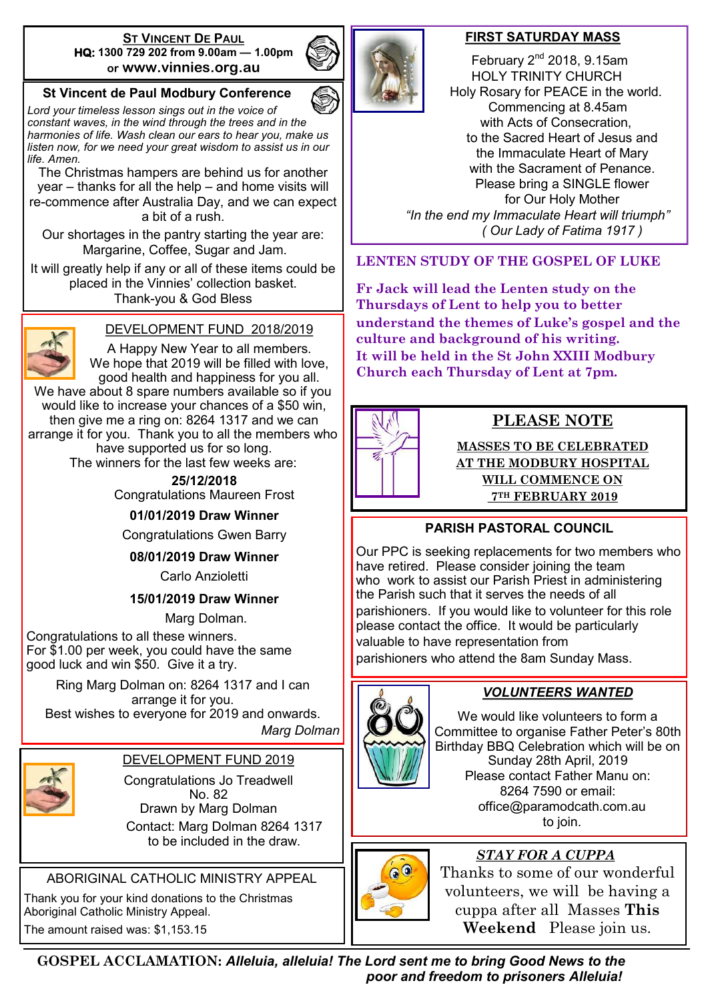#### **ST VINCENT DE PAUL HQ: 1300 729 202 from 9.00am — 1.00pm or www.vinnies.org.au**

#### **St Vincent de Paul Modbury Conference**

*Lord your timeless lesson sings out in the voice of constant waves, in the wind through the trees and in the harmonies of life. Wash clean our ears to hear you, make us listen now, for we need your great wisdom to assist us in our life. Amen.*

The Christmas hampers are behind us for another year – thanks for all the help – and home visits will re-commence after Australia Day, and we can expect a bit of a rush.

Our shortages in the pantry starting the year are: Margarine, Coffee, Sugar and Jam.

It will greatly help if any or all of these items could be placed in the Vinnies' collection basket. Thank-you & God Bless



#### DEVELOPMENT FUND 2018/2019

A Happy New Year to all members. We hope that 2019 will be filled with love, good health and happiness for you all. We have about 8 spare numbers available so if you would like to increase your chances of a \$50 win, then give me a ring on: 8264 1317 and we can arrange it for you. Thank you to all the members who

have supported us for so long.

The winners for the last few weeks are:

**25/12/2018** Congratulations Maureen Frost

**01/01/2019 Draw Winner**

Congratulations Gwen Barry

**08/01/2019 Draw Winner**

Carlo Anzioletti

#### **15/01/2019 Draw Winner**

Marg Dolman.

Congratulations to all these winners. For \$1.00 per week, you could have the same good luck and win \$50. Give it a try.

Ring Marg Dolman on: 8264 1317 and I can arrange it for you. Best wishes to everyone for 2019 and onwards.

*Marg Dolman*



#### DEVELOPMENT FUND 2019

Congratulations Jo Treadwell No. 82 Drawn by Marg Dolman Contact: Marg Dolman 8264 1317 to be included in the draw.

ABORIGINAL CATHOLIC MINISTRY APPEAL

Thank you for your kind donations to the Christmas Aboriginal Catholic Ministry Appeal. The amount raised was: \$1,153.15



#### **FIRST SATURDAY MASS**

February  $2<sup>nd</sup>$  2018, 9.15am HOLY TRINITY CHURCH Holy Rosary for PEACE in the world. Commencing at 8.45am with Acts of Consecration, to the Sacred Heart of Jesus and the Immaculate Heart of Mary with the Sacrament of Penance. Please bring a SINGLE flower for Our Holy Mother  *"In the end my Immaculate Heart will triumph" ( Our Lady of Fatima 1917 )*

**LENTEN STUDY OF THE GOSPEL OF LUKE**

**Fr Jack will lead the Lenten study on the Thursdays of Lent to help you to better understand the themes of Luke's gospel and the culture and background of his writing. It will be held in the St John XXIII Modbury Church each Thursday of Lent at 7pm.**



## **PLEASE NOTE**

**MASSES TO BE CELEBRATED AT THE MODBURY HOSPITAL WILL COMMENCE ON 7TH FEBRUARY 2019**

## **PARISH PASTORAL COUNCIL**

Our PPC is seeking replacements for two members who have retired. Please consider joining the team who work to assist our Parish Priest in administering the Parish such that it serves the needs of all parishioners. If you would like to volunteer for this role please contact the office. It would be particularly valuable to have representation from

parishioners who attend the 8am Sunday Mass.



## *VOLUNTEERS WANTED*

We would like volunteers to form a Committee to organise Father Peter's 80th Birthday BBQ Celebration which will be on Sunday 28th April, 2019 Please contact Father Manu on: 8264 7590 or email: office@paramodcath.com.au to join.



## *STAY FOR A CUPPA*

Thanks to some of our wonderful volunteers, we will be having a cuppa after all Masses **This Weekend** Please join us.

**GOSPEL ACCLAMATION:** *Alleluia, alleluia! The Lord sent me to bring Good News to the poor and freedom to prisoners Alleluia!*